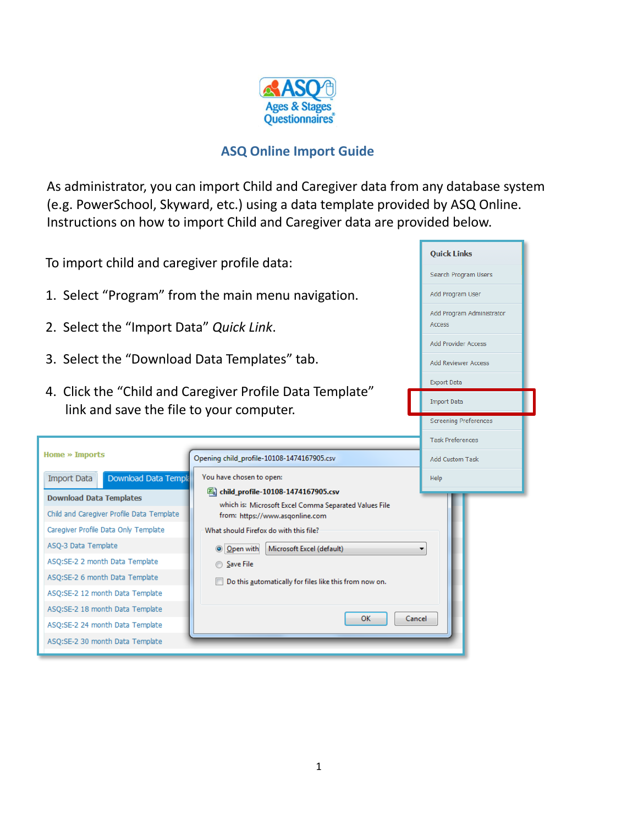

## **ASQ Online Import Guide**

As administrator, you can import Child and Caregiver data from any database system (e.g. PowerSchool, Skyward, etc.) using a data template provided by ASQ Online. Instructions on how to import Child and Caregiver data are provided below.

ъ

| To import child and caregiver profile data:        | <b>Quick Links</b>                                                                       |                              |  |  |
|----------------------------------------------------|------------------------------------------------------------------------------------------|------------------------------|--|--|
|                                                    | Search Program Users                                                                     |                              |  |  |
| 1. Select "Program" from the main menu navigation. | Add Program User                                                                         |                              |  |  |
| 2. Select the "Import Data" Quick Link.            | Add Program Administrator<br>Access                                                      |                              |  |  |
|                                                    |                                                                                          | <b>Add Provider Access</b>   |  |  |
| 3. Select the "Download Data Templates" tab.       |                                                                                          | <b>Add Reviewer Access</b>   |  |  |
|                                                    |                                                                                          | <b>Export Data</b>           |  |  |
| link and save the file to your computer.           | 4. Click the "Child and Caregiver Profile Data Template"                                 | <b>Import Data</b>           |  |  |
|                                                    |                                                                                          | <b>Screening Preferences</b> |  |  |
|                                                    |                                                                                          | <b>Task Preferences</b>      |  |  |
| <b>Home » Imports</b>                              | Opening child_profile-10108-1474167905.csv                                               | <b>Add Custom Task</b>       |  |  |
| Download Data Templa<br><b>Import Data</b>         | You have chosen to open:                                                                 | Help                         |  |  |
| <b>Download Data Templates</b>                     | 图 child_profile-10108-1474167905.csv                                                     |                              |  |  |
| Child and Caregiver Profile Data Template          | which is: Microsoft Excel Comma Separated Values File<br>from: https://www.asqonline.com |                              |  |  |
| Caregiver Profile Data Only Template               | What should Firefox do with this file?                                                   |                              |  |  |
| ASQ-3 Data Template                                | O Open with<br>Microsoft Excel (default)                                                 |                              |  |  |
| ASQ:SE-2 2 month Data Template                     | ◯ Save File                                                                              |                              |  |  |
| ASQ:SE-2 6 month Data Template                     |                                                                                          |                              |  |  |
| ASQ:SE-2 12 month Data Template                    |                                                                                          |                              |  |  |
| ASQ:SE-2 18 month Data Template                    | OK<br>Cancel                                                                             |                              |  |  |
| ASQ:SE-2 24 month Data Template                    |                                                                                          |                              |  |  |
| ASQ:SE-2 30 month Data Template                    |                                                                                          |                              |  |  |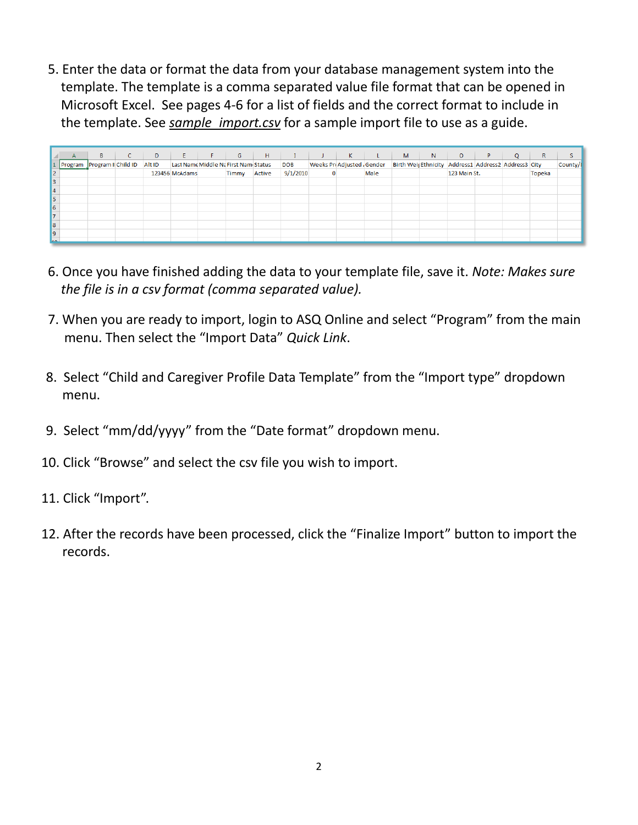5. Enter the data or format the data from your database management system into the template. The template is a comma separated value file format that can be opened in Microsoft Excel. See pages 4-6 for a list of fields and the correct format to include in the template. See *sample import.csv* for a sample import file to use as a guide.

|                       | A                           | B. | D      | E.             | F.                                    | G     | H      |            | K.                        |      | M                                                    | N. | $\circ$      | P | $\circ$ | $\mathsf{R}$  |         |
|-----------------------|-----------------------------|----|--------|----------------|---------------------------------------|-------|--------|------------|---------------------------|------|------------------------------------------------------|----|--------------|---|---------|---------------|---------|
|                       | Program Program II Child ID |    | Alt ID |                | Last Name Middle Na First Name Status |       |        | <b>DOB</b> | Weeks PreAdjusted, Gender |      | Birth Weis Ethnicity Address1 Address2 Address3 City |    |              |   |         |               | County/ |
| 2                     |                             |    |        | 123456 McAdams |                                       | Timmy | Active | 9/1/2010   |                           | Male |                                                      |    | 123 Main St. |   |         | <b>Topeka</b> |         |
| 3                     |                             |    |        |                |                                       |       |        |            |                           |      |                                                      |    |              |   |         |               |         |
| $\vert 4$             |                             |    |        |                |                                       |       |        |            |                           |      |                                                      |    |              |   |         |               |         |
| 5                     |                             |    |        |                |                                       |       |        |            |                           |      |                                                      |    |              |   |         |               |         |
| $\vert \vert 6 \vert$ |                             |    |        |                |                                       |       |        |            |                           |      |                                                      |    |              |   |         |               |         |
| 17                    |                             |    |        |                |                                       |       |        |            |                           |      |                                                      |    |              |   |         |               |         |
| 8                     |                             |    |        |                |                                       |       |        |            |                           |      |                                                      |    |              |   |         |               |         |
| l9                    |                             |    |        |                |                                       |       |        |            |                           |      |                                                      |    |              |   |         |               |         |
| la A                  |                             |    |        |                |                                       |       |        |            |                           |      |                                                      |    |              |   |         |               |         |

- 6. Once you have finished adding the data to your template file, save it. *Note: Makes sure the file is in a csv format (comma separated value).*
- 7. When you are ready to import, login to ASQ Online and select "Program" from the main menu. Then select the "Import Data" *Quick Link*.
- 8. Select "Child and Caregiver Profile Data Template" from the "Import type" dropdown menu.
- 9. Select "mm/dd/yyyy" from the "Date format" dropdown menu.
- 10. Click "Browse" and select the csv file you wish to import.
- 11. Click "Import".
- 12. After the records have been processed, click the "Finalize Import" button to import the records.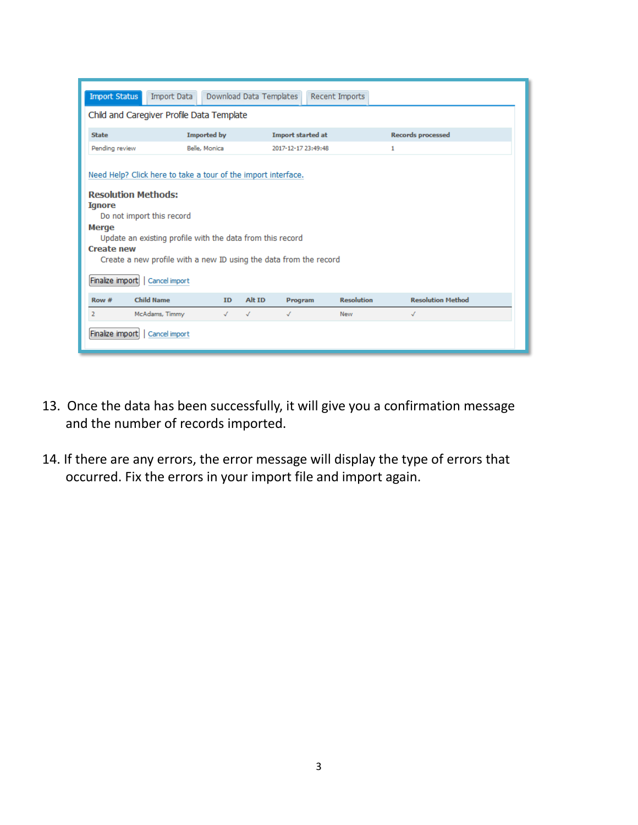| <b>Import Status</b>                                                           | <b>Import Data</b>                                            |                    | Download Data Templates | Recent Imports           |                   |                          |  |  |  |  |
|--------------------------------------------------------------------------------|---------------------------------------------------------------|--------------------|-------------------------|--------------------------|-------------------|--------------------------|--|--|--|--|
| Child and Caregiver Profile Data Template                                      |                                                               |                    |                         |                          |                   |                          |  |  |  |  |
| <b>State</b>                                                                   |                                                               | <b>Imported by</b> |                         | <b>Import started at</b> |                   | <b>Records processed</b> |  |  |  |  |
| Pending review                                                                 | Belle, Monica                                                 |                    |                         | 2017-12-17 23:49:48      |                   | 1                        |  |  |  |  |
|                                                                                | Need Help? Click here to take a tour of the import interface. |                    |                         |                          |                   |                          |  |  |  |  |
| <b>Resolution Methods:</b><br><b>Ignore</b><br>Do not import this record       |                                                               |                    |                         |                          |                   |                          |  |  |  |  |
| Merge                                                                          |                                                               |                    |                         |                          |                   |                          |  |  |  |  |
| Update an existing profile with the data from this record<br><b>Create new</b> |                                                               |                    |                         |                          |                   |                          |  |  |  |  |
| Create a new profile with a new ID using the data from the record              |                                                               |                    |                         |                          |                   |                          |  |  |  |  |
| Finalize import<br>Cancel import                                               |                                                               |                    |                         |                          |                   |                          |  |  |  |  |
| Row#                                                                           | <b>Child Name</b>                                             | <b>ID</b>          | Alt ID                  | Program                  | <b>Resolution</b> | <b>Resolution Method</b> |  |  |  |  |
| 2                                                                              | McAdams, Timmy                                                | √                  | J<br>J                  | <b>New</b>               |                   | $\sqrt{2}$               |  |  |  |  |
| Finalize import<br>Cancel import                                               |                                                               |                    |                         |                          |                   |                          |  |  |  |  |

- 13. Once the data has been successfully, it will give you a confirmation message and the number of records imported.
- 14. If there are any errors, the error message will display the type of errors that occurred. Fix the errors in your import file and import again.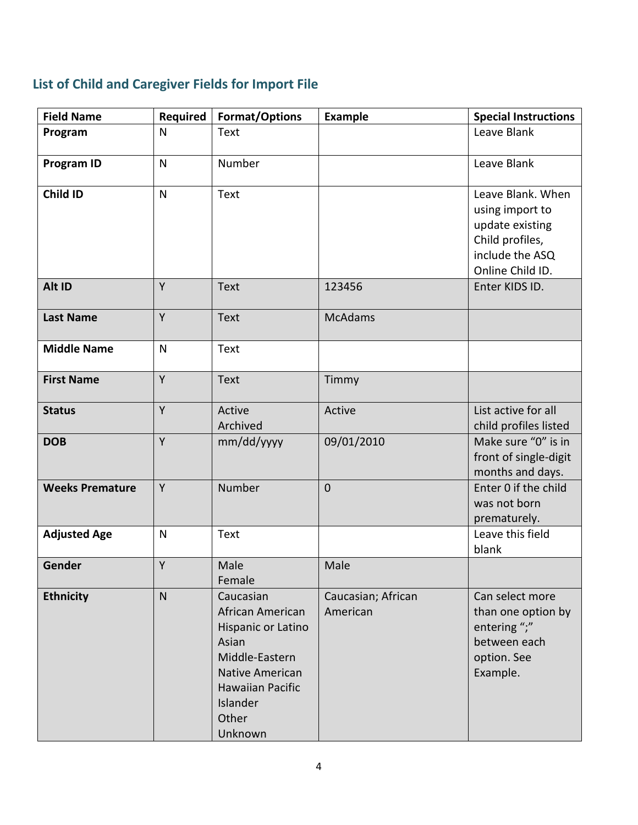## **List of Child and Caregiver Fields for Import File**

| <b>Field Name</b>      | Required     | Format/Options                                                                                                                                               | <b>Example</b>                 | <b>Special Instructions</b>                                                                                       |
|------------------------|--------------|--------------------------------------------------------------------------------------------------------------------------------------------------------------|--------------------------------|-------------------------------------------------------------------------------------------------------------------|
| Program                | $\mathsf{N}$ | <b>Text</b>                                                                                                                                                  |                                | Leave Blank                                                                                                       |
| <b>Program ID</b>      | $\mathsf{N}$ | Number                                                                                                                                                       |                                | Leave Blank                                                                                                       |
| Child ID               | $\mathsf{N}$ | Text                                                                                                                                                         |                                | Leave Blank. When<br>using import to<br>update existing<br>Child profiles,<br>include the ASQ<br>Online Child ID. |
| Alt ID                 | Y            | <b>Text</b>                                                                                                                                                  | 123456                         | Enter KIDS ID.                                                                                                    |
| <b>Last Name</b>       | Y            | <b>Text</b>                                                                                                                                                  | <b>McAdams</b>                 |                                                                                                                   |
| <b>Middle Name</b>     | $\mathsf{N}$ | Text                                                                                                                                                         |                                |                                                                                                                   |
| <b>First Name</b>      | Y            | <b>Text</b>                                                                                                                                                  | Timmy                          |                                                                                                                   |
| <b>Status</b>          | Y            | Active<br>Archived                                                                                                                                           | Active                         | List active for all<br>child profiles listed                                                                      |
| <b>DOB</b>             | Y            | mm/dd/yyyy                                                                                                                                                   | 09/01/2010                     | Make sure "0" is in<br>front of single-digit<br>months and days.                                                  |
| <b>Weeks Premature</b> | Y            | Number                                                                                                                                                       | $\mathbf 0$                    | Enter 0 if the child<br>was not born<br>prematurely.                                                              |
| <b>Adjusted Age</b>    | N            | Text                                                                                                                                                         |                                | Leave this field<br>blank                                                                                         |
| Gender                 | Υ            | Male<br>Female                                                                                                                                               | Male                           |                                                                                                                   |
| <b>Ethnicity</b>       | $\mathsf{N}$ | Caucasian<br>African American<br>Hispanic or Latino<br>Asian<br>Middle-Eastern<br>Native American<br><b>Hawaiian Pacific</b><br>Islander<br>Other<br>Unknown | Caucasian; African<br>American | Can select more<br>than one option by<br>entering ";"<br>between each<br>option. See<br>Example.                  |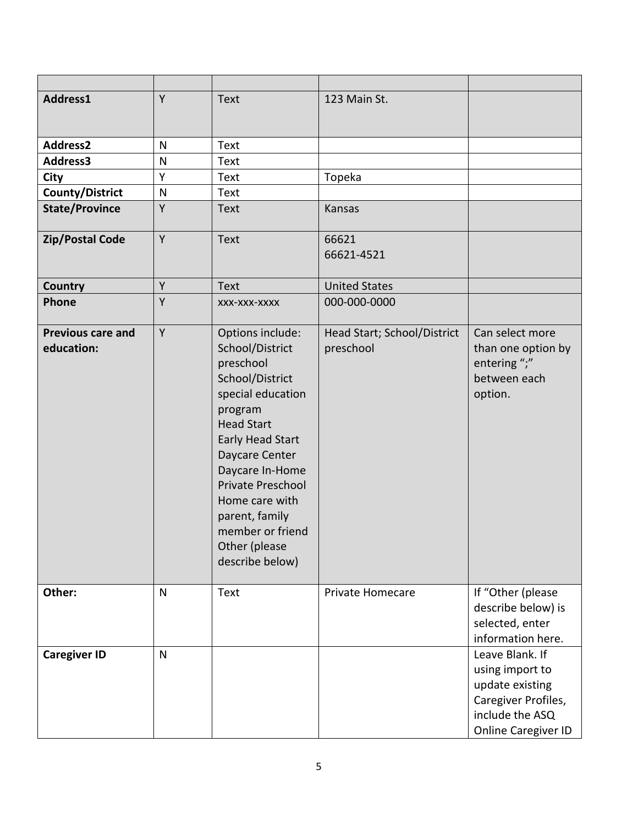| Address1                               | Y | <b>Text</b>                                                                                                                                                                                                                                                                                               | 123 Main St.                             |                                                                                                                        |
|----------------------------------------|---|-----------------------------------------------------------------------------------------------------------------------------------------------------------------------------------------------------------------------------------------------------------------------------------------------------------|------------------------------------------|------------------------------------------------------------------------------------------------------------------------|
| <b>Address2</b>                        | N | <b>Text</b>                                                                                                                                                                                                                                                                                               |                                          |                                                                                                                        |
| Address3                               | N | <b>Text</b>                                                                                                                                                                                                                                                                                               |                                          |                                                                                                                        |
| City                                   | Υ | <b>Text</b>                                                                                                                                                                                                                                                                                               | Topeka                                   |                                                                                                                        |
| <b>County/District</b>                 | N | <b>Text</b>                                                                                                                                                                                                                                                                                               |                                          |                                                                                                                        |
| <b>State/Province</b>                  | Y | <b>Text</b>                                                                                                                                                                                                                                                                                               | Kansas                                   |                                                                                                                        |
| <b>Zip/Postal Code</b>                 | Y | <b>Text</b>                                                                                                                                                                                                                                                                                               | 66621<br>66621-4521                      |                                                                                                                        |
| <b>Country</b>                         | Y | <b>Text</b>                                                                                                                                                                                                                                                                                               | <b>United States</b>                     |                                                                                                                        |
| Phone                                  | Y | XXX-XXX-XXXX                                                                                                                                                                                                                                                                                              | 000-000-0000                             |                                                                                                                        |
| <b>Previous care and</b><br>education: | Y | Options include:<br>School/District<br>preschool<br>School/District<br>special education<br>program<br><b>Head Start</b><br><b>Early Head Start</b><br>Daycare Center<br>Daycare In-Home<br>Private Preschool<br>Home care with<br>parent, family<br>member or friend<br>Other (please<br>describe below) | Head Start; School/District<br>preschool | Can select more<br>than one option by<br>entering ";"<br>between each<br>option.                                       |
| Other:                                 | N | <b>Text</b>                                                                                                                                                                                                                                                                                               | Private Homecare                         | If "Other (please<br>describe below) is<br>selected, enter<br>information here.                                        |
| <b>Caregiver ID</b>                    | N |                                                                                                                                                                                                                                                                                                           |                                          | Leave Blank. If<br>using import to<br>update existing<br>Caregiver Profiles,<br>include the ASQ<br>Online Caregiver ID |